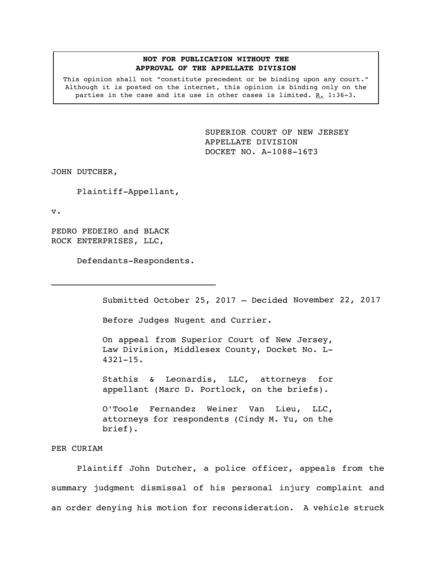## **NOT FOR PUBLICATION WITHOUT THE APPROVAL OF THE APPELLATE DIVISION**

This opinion shall not "constitute precedent or be binding upon any court." Although it is posted on the internet, this opinion is binding only on the parties in the case and its use in other cases is limited. R. 1:36-3.

> <span id="page-0-0"></span>SUPERIOR COURT OF NEW JERSEY APPELLATE DIVISION DOCKET NO. A-1088-16T3

JOHN DUTCHER,

Plaintiff-Appellant,

v.

PEDRO PEDEIRO and BLACK ROCK ENTERPRISES, LLC,

Defendants-Respondents.

Submitted October 25, 2017 – Decided November 22, 2017

Before Judges Nugent and Currier.

On appeal from Superior Court of New Jersey, Law Division, Middlesex County, Docket No. L-4321-15.

Stathis & Leonardis, LLC, attorneys for appellant (Marc D. Portlock, on the briefs).

O'Toole Fernandez Weiner Van Lieu, LLC, attorneys for respondents (Cindy M. Yu, on the brief).

## PER CURIAM

Plaintiff John Dutcher, a police officer, appeals from the summary judgment dismissal of his personal injury complaint and an order denying his motion for reconsideration. A vehicle struck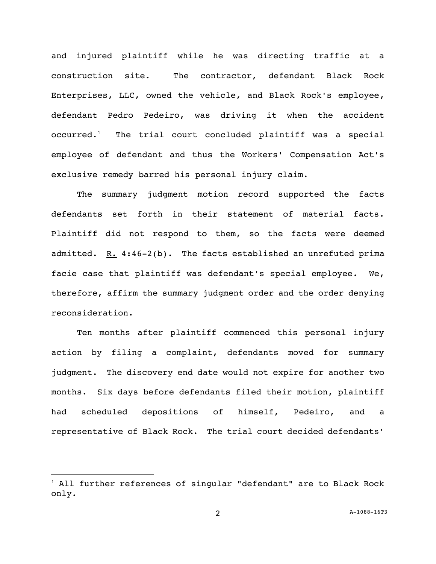and injured plaintiff while he was directing traffic at a construction site. The contractor, defendant Black Rock Enterprises, LLC, owned the vehicle, and Black Rock's employee, defendant Pedro Pedeiro, was driving it when the accident  $occurred.$ <sup>1</sup> The trial court concluded plaintiff was a special employee of defendant and thus the Workers' Compensation Act's exclusive remedy barred his personal injury claim.

The summary judgment motion record supported the facts defendants set forth in their statement of material facts. Plaintiff did not respond to them, so the facts were deemed admitted.  $R. 4:46-2(b)$ . The facts established an unrefuted prima facie case that plaintiff was defendant's special employee. We, therefore, affirm the summary judgment order and the order denying reconsideration.

Ten months after plaintiff commenced this personal injury action by filing a complaint, defendants moved for summary judgment. The discovery end date would not expire for another two months. Six days before defendants filed their motion, plaintiff had scheduled depositions of himself, Pedeiro, and a representative of Black Rock. The trial court decided defendants'

i<br>L

 $1$  All further references of singular "defendant" are to Black Rock only.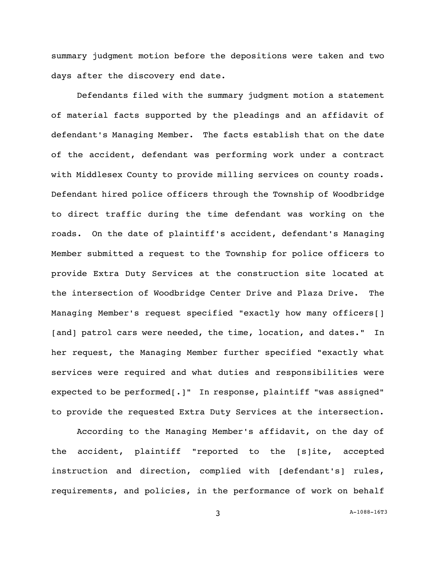summary judgment motion before the depositions were taken and two days after the discovery end date.

Defendants filed with the summary judgment motion a statement of material facts supported by the pleadings and an affidavit of defendant's Managing Member. The facts establish that on the date of the accident, defendant was performing work under a contract with Middlesex County to provide milling services on county roads. Defendant hired police officers through the Township of Woodbridge to direct traffic during the time defendant was working on the roads. On the date of plaintiff's accident, defendant's Managing Member submitted a request to the Township for police officers to provide Extra Duty Services at the construction site located at the intersection of Woodbridge Center Drive and Plaza Drive. The Managing Member's request specified "exactly how many officers[] [and] patrol cars were needed, the time, location, and dates." In her request, the Managing Member further specified "exactly what services were required and what duties and responsibilities were expected to be performed[.]" In response, plaintiff "was assigned" to provide the requested Extra Duty Services at the intersection.

According to the Managing Member's affidavit, on the day of the accident, plaintiff "reported to the [s]ite, accepted instruction and direction, complied with [defendant's] rules, requirements, and policies, in the performance of work on behalf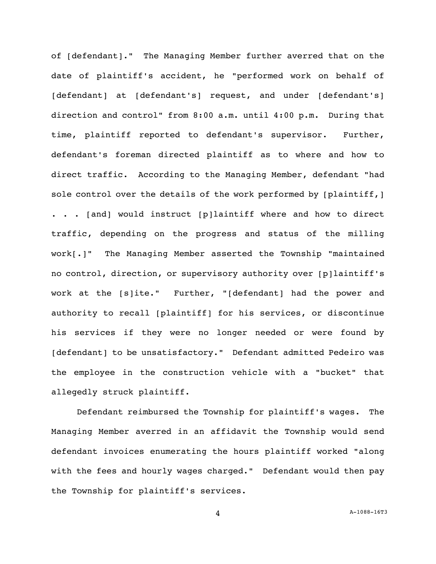of [defendant]." The Managing Member further averred that on the date of plaintiff's accident, he "performed work on behalf of [defendant] at [defendant's] request, and under [defendant's] direction and control" from 8:00 a.m. until 4:00 p.m. During that time, plaintiff reported to defendant's supervisor. Further, defendant's foreman directed plaintiff as to where and how to direct traffic. According to the Managing Member, defendant "had sole control over the details of the work performed by [plaintiff,] . . . [and] would instruct [p]laintiff where and how to direct traffic, depending on the progress and status of the milling work[.]" The Managing Member asserted the Township "maintained no control, direction, or supervisory authority over [p]laintiff's work at the [s]ite." Further, "[defendant] had the power and authority to recall [plaintiff] for his services, or discontinue his services if they were no longer needed or were found by [defendant] to be unsatisfactory." Defendant admitted Pedeiro was the employee in the construction vehicle with a "bucket" that allegedly struck plaintiff.

Defendant reimbursed the Township for plaintiff's wages. The Managing Member averred in an affidavit the Township would send defendant invoices enumerating the hours plaintiff worked "along with the fees and hourly wages charged." Defendant would then pay the Township for plaintiff's services.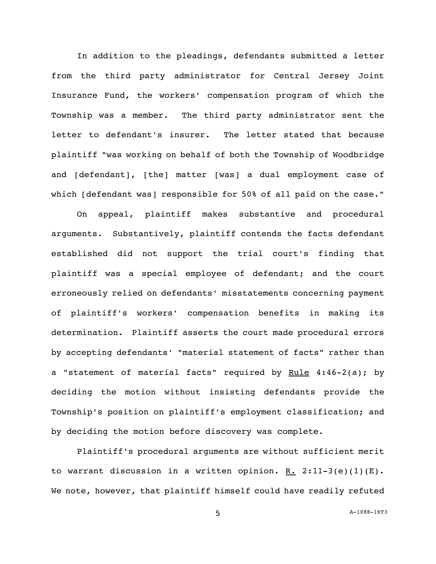In addition to the pleadings, defendants submitted a letter from the third party administrator for Central Jersey Joint Insurance Fund, the workers' compensation program of which the Township was a member. The third party administrator sent the letter to defendant's insurer. The letter stated that because plaintiff "was working on behalf of both the Township of Woodbridge and [defendant], [the] matter [was] a dual employment case of which [defendant was] responsible for 50% of all paid on the case."

On appeal, plaintiff makes substantive and procedural arguments. Substantively, plaintiff contends the facts defendant established did not support the trial court's finding that plaintiff was a special employee of defendant; and the court erroneously relied on defendants' misstatements concerning payment of plaintiff's workers' compensation benefits in making its determination. Plaintiff asserts the court made procedural errors by accepting defendants' "material statement of facts" rather than a "statement of material facts" required by Rule  $4:46-2(a)$ ; by deciding the motion without insisting defendants provide the Township's position on plaintiff's employment classification; and by deciding the motion before discovery was complete.

Plaintiff's procedural arguments are without sufficient merit to warrant discussion in a written opinion.  $R. 2:11-3(e)(1)(E)$ . We note, however, that plaintiff himself could have readily refuted

5 A[-1088-16T3](#page-0-0)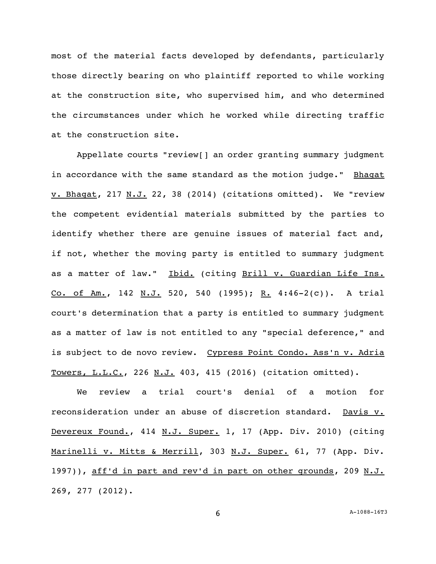most of the material facts developed by defendants, particularly those directly bearing on who plaintiff reported to while working at the construction site, who supervised him, and who determined the circumstances under which he worked while directing traffic at the construction site.

Appellate courts "review[] an order granting summary judgment in accordance with the same standard as the motion judge." Bhagat  $\underline{v. Bhagat}$ , 217 <u>N.J.</u> 22, 38 (2014) (citations omitted). We "review the competent evidential materials submitted by the parties to identify whether there are genuine issues of material fact and, if not, whether the moving party is entitled to summary judgment as a matter of law." Ibid. (citing Brill v. Guardian Life Ins. Co. of Am., 142 N.J. 520, 540 (1995); R. 4:46-2(c)). A trial court's determination that a party is entitled to summary judgment as a matter of law is not entitled to any "special deference," and is subject to de novo review. Cypress Point Condo. Ass'n v. Adria Towers, L.L.C., 226 N.J. 403, 415 (2016) (citation omitted).

We review a trial court's denial of a motion for reconsideration under an abuse of discretion standard. Davis v. Devereux Found., 414 N.J. Super. 1, 17 (App. Div. 2010) (citing Marinelli v. Mitts & Merrill, 303 N.J. Super. 61, 77 (App. Div. 1997)), aff'd in part and rev'd in part on other grounds, 209 N.J. 269, 277 (2012).

6 A[-1088-16T3](#page-0-0)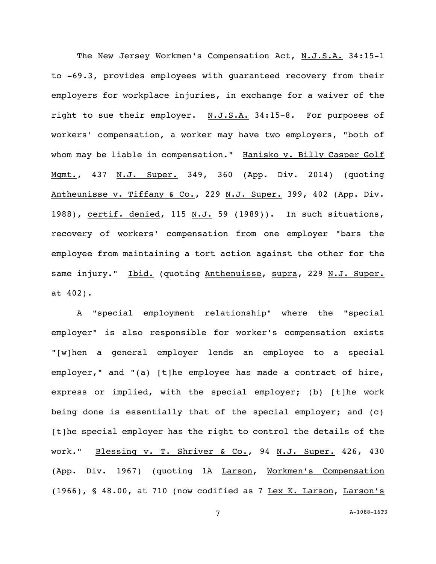The New Jersey Workmen's Compensation Act, N.J.S.A. 34:15-1 to -69.3, provides employees with guaranteed recovery from their employers for workplace injuries, in exchange for a waiver of the right to sue their employer. N.J.S.A. 34:15-8. For purposes of workers' compensation, a worker may have two employers, "both of whom may be liable in compensation." Hanisko v. Billy Casper Golf Mgmt., 437 N.J. Super. 349, 360 (App. Div. 2014) (quoting Antheunisse v. Tiffany & Co., 229 N.J. Super. 399, 402 (App. Div. 1988), certif. denied, 115 N.J. 59 (1989)). In such situations, recovery of workers' compensation from one employer "bars the employee from maintaining a tort action against the other for the same injury." Ibid. (quoting Anthenuisse, supra, 229 N.J. Super. at 402).

A "special employment relationship" where the "special employer" is also responsible for worker's compensation exists "[w]hen a general employer lends an employee to a special employer," and "(a) [t]he employee has made a contract of hire, express or implied, with the special employer; (b) [t]he work being done is essentially that of the special employer; and (c) [t]he special employer has the right to control the details of the work." Blessing v. T. Shriver & Co., 94 N.J. Super. 426, 430 (App. Div. 1967) (quoting 1A Larson, Workmen's Compensation (1966), § 48.00, at 710 (now codified as 7 Lex K. Larson, Larson's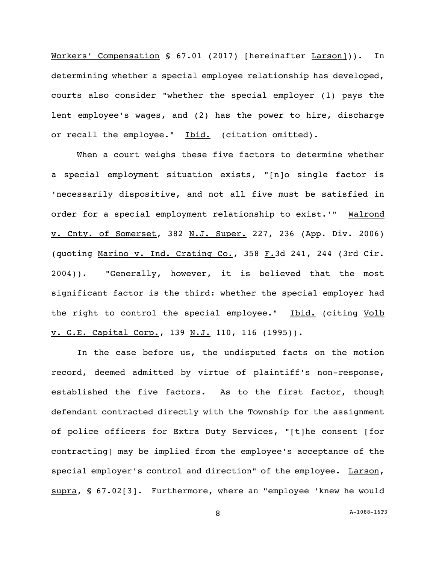Workers' Compensation § 67.01 (2017) [hereinafter Larson])). In determining whether a special employee relationship has developed, courts also consider "whether the special employer (1) pays the lent employee's wages, and (2) has the power to hire, discharge or recall the employee." Ibid. (citation omitted).

When a court weighs these five factors to determine whether a special employment situation exists, "[n]o single factor is 'necessarily dispositive, and not all five must be satisfied in order for a special employment relationship to exist.'" Walrond v. Cnty. of Somerset, 382 N.J. Super. 227, 236 (App. Div. 2006) (quoting Marino v. Ind. Crating Co., 358 F.3d 241, 244 (3rd Cir. 2004)). "Generally, however, it is believed that the most significant factor is the third: whether the special employer had the right to control the special employee." Ibid. (citing Volb v. G.E. Capital Corp., 139 N.J. 110, 116 (1995)).

In the case before us, the undisputed facts on the motion record, deemed admitted by virtue of plaintiff's non-response, established the five factors. As to the first factor, though defendant contracted directly with the Township for the assignment of police officers for Extra Duty Services, "[t]he consent [for contracting] may be implied from the employee's acceptance of the special employer's control and direction" of the employee. Larson, supra, § 67.02[3]. Furthermore, where an "employee 'knew he would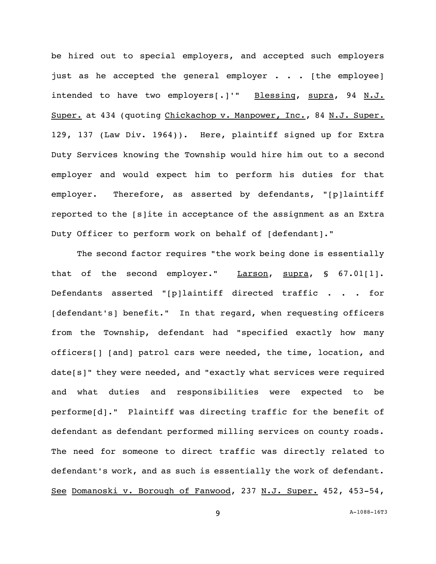be hired out to special employers, and accepted such employers just as he accepted the general employer . . . [the employee] intended to have two employers[.]'" Blessing, supra, 94 N.J. Super. at 434 (quoting Chickachop v. Manpower, Inc., 84 N.J. Super. 129, 137 (Law Div. 1964)). Here, plaintiff signed up for Extra Duty Services knowing the Township would hire him out to a second employer and would expect him to perform his duties for that employer. Therefore, as asserted by defendants, "[p]laintiff reported to the [s]ite in acceptance of the assignment as an Extra Duty Officer to perform work on behalf of [defendant]."

The second factor requires "the work being done is essentially that of the second employer." Larson, supra, § 67.01[1]. Defendants asserted "[p]laintiff directed traffic . . . for [defendant's] benefit." In that regard, when requesting officers from the Township, defendant had "specified exactly how many officers[] [and] patrol cars were needed, the time, location, and date[s]" they were needed, and "exactly what services were required and what duties and responsibilities were expected to be performe[d]." Plaintiff was directing traffic for the benefit of defendant as defendant performed milling services on county roads. The need for someone to direct traffic was directly related to defendant's work, and as such is essentially the work of defendant. See Domanoski v. Borough of Fanwood, 237 N.J. Super. 452, 453-54,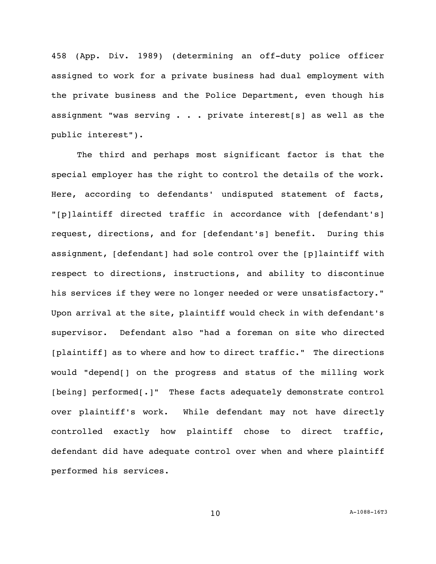458 (App. Div. 1989) (determining an off-duty police officer assigned to work for a private business had dual employment with the private business and the Police Department, even though his assignment "was serving . . . private interest[s] as well as the public interest").

The third and perhaps most significant factor is that the special employer has the right to control the details of the work. Here, according to defendants' undisputed statement of facts, "[p]laintiff directed traffic in accordance with [defendant's] request, directions, and for [defendant's] benefit. During this assignment, [defendant] had sole control over the [p]laintiff with respect to directions, instructions, and ability to discontinue his services if they were no longer needed or were unsatisfactory." Upon arrival at the site, plaintiff would check in with defendant's supervisor. Defendant also "had a foreman on site who directed [plaintiff] as to where and how to direct traffic." The directions would "depend[] on the progress and status of the milling work [being] performed[.]" These facts adequately demonstrate control over plaintiff's work. While defendant may not have directly controlled exactly how plaintiff chose to direct traffic, defendant did have adequate control over when and where plaintiff performed his services.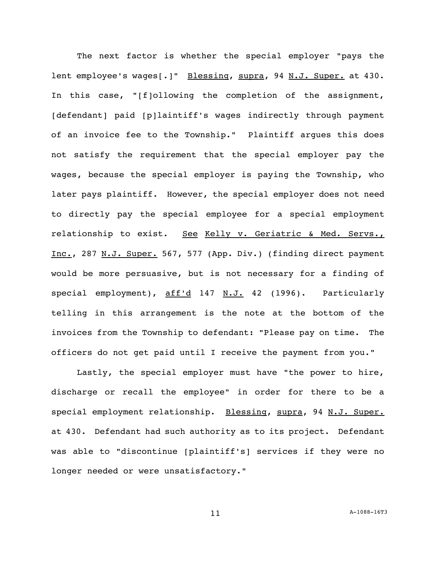The next factor is whether the special employer "pays the lent employee's wages[.]" Blessing, supra, 94 N.J. Super. at 430. In this case, "[f]ollowing the completion of the assignment, [defendant] paid [p]laintiff's wages indirectly through payment of an invoice fee to the Township." Plaintiff argues this does not satisfy the requirement that the special employer pay the wages, because the special employer is paying the Township, who later pays plaintiff. However, the special employer does not need to directly pay the special employee for a special employment relationship to exist. See Kelly v. Geriatric & Med. Servs. Inc., 287 N.J. Super. 567, 577 (App. Div.) (finding direct payment would be more persuasive, but is not necessary for a finding of special employment), aff'd 147 N.J. 42 (1996). Particularly telling in this arrangement is the note at the bottom of the invoices from the Township to defendant: "Please pay on time. The officers do not get paid until I receive the payment from you."

Lastly, the special employer must have "the power to hire, discharge or recall the employee" in order for there to be a special employment relationship. Blessing, supra, 94 N.J. Super. at 430. Defendant had such authority as to its project. Defendant was able to "discontinue [plaintiff's] services if they were no longer needed or were unsatisfactory."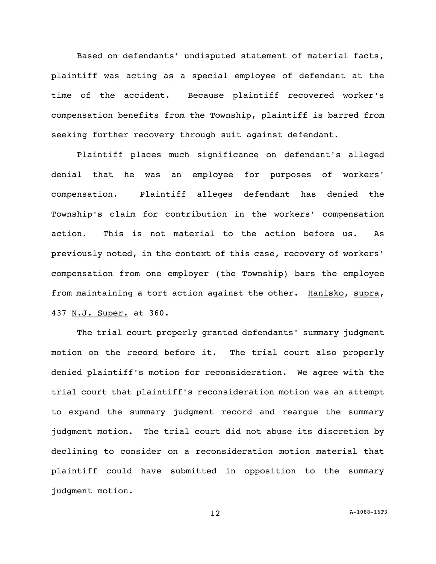Based on defendants' undisputed statement of material facts, plaintiff was acting as a special employee of defendant at the time of the accident. Because plaintiff recovered worker's compensation benefits from the Township, plaintiff is barred from seeking further recovery through suit against defendant.

Plaintiff places much significance on defendant's alleged denial that he was an employee for purposes of workers' compensation. Plaintiff alleges defendant has denied the Township's claim for contribution in the workers' compensation action. This is not material to the action before us. As previously noted, in the context of this case, recovery of workers' compensation from one employer (the Township) bars the employee from maintaining a tort action against the other. Hanisko, supra, 437 N.J. Super. at 360.

The trial court properly granted defendants' summary judgment motion on the record before it. The trial court also properly denied plaintiff's motion for reconsideration. We agree with the trial court that plaintiff's reconsideration motion was an attempt to expand the summary judgment record and reargue the summary judgment motion. The trial court did not abuse its discretion by declining to consider on a reconsideration motion material that plaintiff could have submitted in opposition to the summary judgment motion.